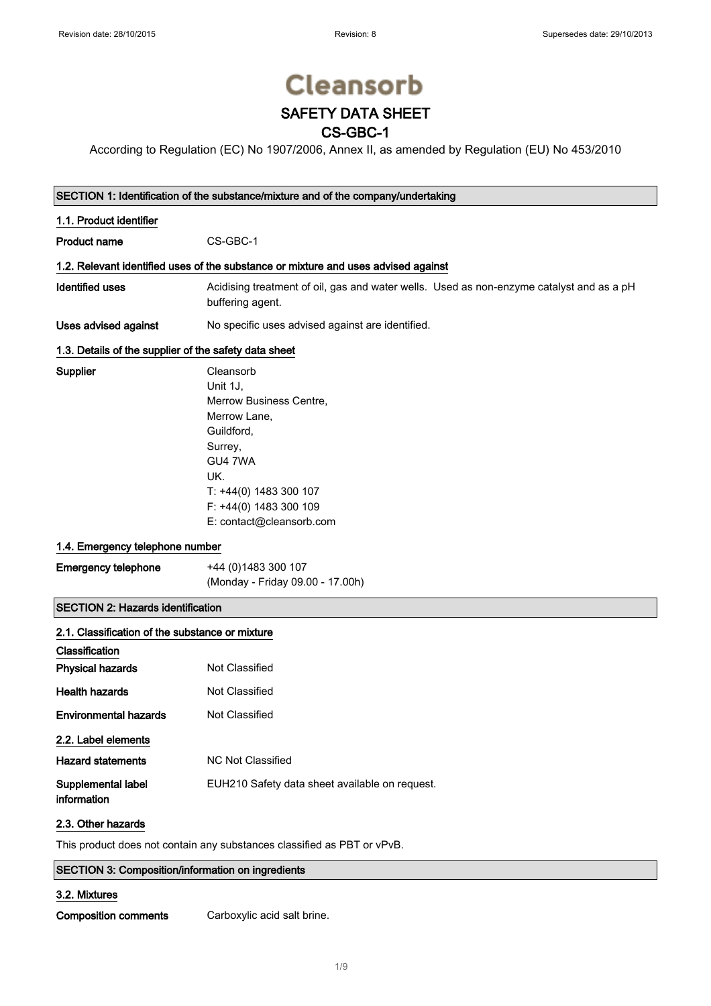# **Cleansorb**

## SAFETY DATA SHEET

### CS-GBC-1

According to Regulation (EC) No 1907/2006, Annex II, as amended by Regulation (EU) No 453/2010

| SECTION 1: Identification of the substance/mixture and of the company/undertaking |  |  |
|-----------------------------------------------------------------------------------|--|--|
|-----------------------------------------------------------------------------------|--|--|

| 1.1. Product identifier                         |                                                                                                                                                                                               |  |  |
|-------------------------------------------------|-----------------------------------------------------------------------------------------------------------------------------------------------------------------------------------------------|--|--|
| Product name                                    | CS-GBC-1                                                                                                                                                                                      |  |  |
|                                                 | 1.2. Relevant identified uses of the substance or mixture and uses advised against                                                                                                            |  |  |
| <b>Identified uses</b>                          | Acidising treatment of oil, gas and water wells. Used as non-enzyme catalyst and as a pH<br>buffering agent.                                                                                  |  |  |
| Uses advised against                            | No specific uses advised against are identified.                                                                                                                                              |  |  |
|                                                 | 1.3. Details of the supplier of the safety data sheet                                                                                                                                         |  |  |
| Supplier                                        | Cleansorb<br>Unit 1J,<br>Merrow Business Centre,<br>Merrow Lane,<br>Guildford,<br>Surrey,<br>GU4 7WA<br>UK.<br>$T: +44(0)$ 1483 300 107<br>F: +44(0) 1483 300 109<br>E: contact@cleansorb.com |  |  |
| 1.4. Emergency telephone number                 |                                                                                                                                                                                               |  |  |
| <b>Emergency telephone</b>                      | +44 (0) 1483 300 107<br>(Monday - Friday 09.00 - 17.00h)                                                                                                                                      |  |  |
| <b>SECTION 2: Hazards identification</b>        |                                                                                                                                                                                               |  |  |
| 2.1. Classification of the substance or mixture |                                                                                                                                                                                               |  |  |
| Classification<br><b>Physical hazards</b>       | Not Classified                                                                                                                                                                                |  |  |
| <b>Health hazards</b>                           | <b>Not Classified</b>                                                                                                                                                                         |  |  |
| <b>Environmental hazards</b>                    | Not Classified                                                                                                                                                                                |  |  |
| 2.2. Label elements                             |                                                                                                                                                                                               |  |  |
| <b>Hazard statements</b>                        | <b>NC Not Classified</b>                                                                                                                                                                      |  |  |
| Supplemental label                              | EUH210 Safety data sheet available on request.                                                                                                                                                |  |  |

### 2.3. Other hazards

information

This product does not contain any substances classified as PBT or vPvB.

#### SECTION 3: Composition/information on ingredients

#### 3.2. Mixtures

Composition comments Carboxylic acid salt brine.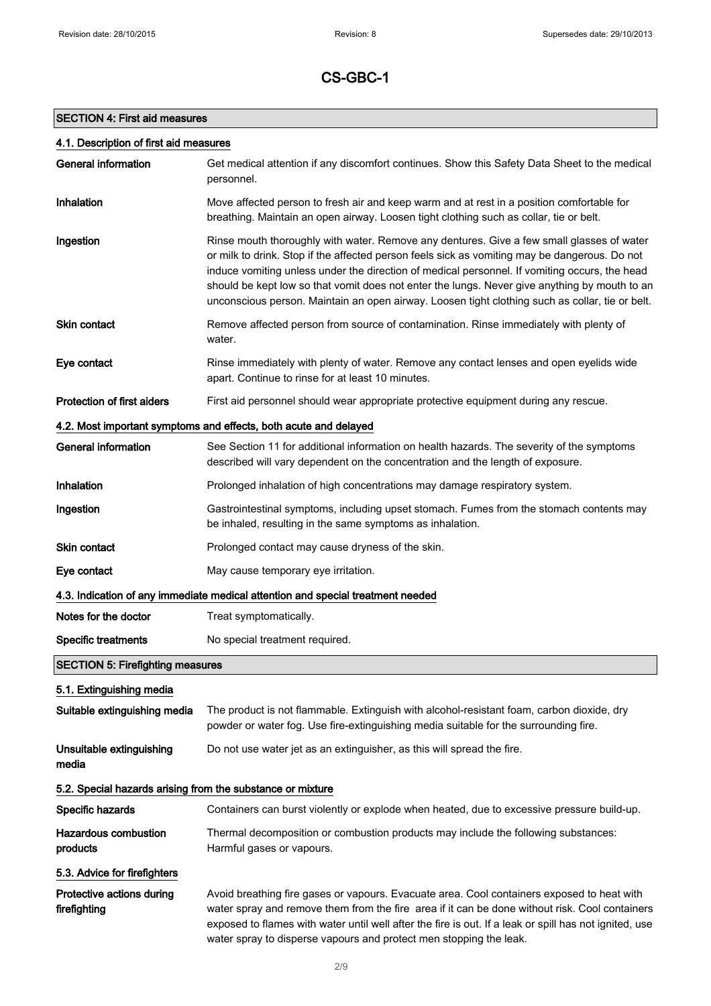#### SECTION 4: First aid measures

| <b>General information</b>                                 | Get medical attention if any discomfort continues. Show this Safety Data Sheet to the medical<br>personnel.                                                                                                                                                                                                                                                                                                                                                                                     |
|------------------------------------------------------------|-------------------------------------------------------------------------------------------------------------------------------------------------------------------------------------------------------------------------------------------------------------------------------------------------------------------------------------------------------------------------------------------------------------------------------------------------------------------------------------------------|
| Inhalation                                                 | Move affected person to fresh air and keep warm and at rest in a position comfortable for<br>breathing. Maintain an open airway. Loosen tight clothing such as collar, tie or belt.                                                                                                                                                                                                                                                                                                             |
| Ingestion                                                  | Rinse mouth thoroughly with water. Remove any dentures. Give a few small glasses of water<br>or milk to drink. Stop if the affected person feels sick as vomiting may be dangerous. Do not<br>induce vomiting unless under the direction of medical personnel. If vomiting occurs, the head<br>should be kept low so that vomit does not enter the lungs. Never give anything by mouth to an<br>unconscious person. Maintain an open airway. Loosen tight clothing such as collar, tie or belt. |
| Skin contact                                               | Remove affected person from source of contamination. Rinse immediately with plenty of<br>water.                                                                                                                                                                                                                                                                                                                                                                                                 |
| Eye contact                                                | Rinse immediately with plenty of water. Remove any contact lenses and open eyelids wide<br>apart. Continue to rinse for at least 10 minutes.                                                                                                                                                                                                                                                                                                                                                    |
| Protection of first aiders                                 | First aid personnel should wear appropriate protective equipment during any rescue.                                                                                                                                                                                                                                                                                                                                                                                                             |
|                                                            | 4.2. Most important symptoms and effects, both acute and delayed                                                                                                                                                                                                                                                                                                                                                                                                                                |
| <b>General information</b>                                 | See Section 11 for additional information on health hazards. The severity of the symptoms<br>described will vary dependent on the concentration and the length of exposure.                                                                                                                                                                                                                                                                                                                     |
| Inhalation                                                 | Prolonged inhalation of high concentrations may damage respiratory system.                                                                                                                                                                                                                                                                                                                                                                                                                      |
| Ingestion                                                  | Gastrointestinal symptoms, including upset stomach. Fumes from the stomach contents may<br>be inhaled, resulting in the same symptoms as inhalation.                                                                                                                                                                                                                                                                                                                                            |
| <b>Skin contact</b>                                        | Prolonged contact may cause dryness of the skin.                                                                                                                                                                                                                                                                                                                                                                                                                                                |
| Eye contact                                                | May cause temporary eye irritation.                                                                                                                                                                                                                                                                                                                                                                                                                                                             |
|                                                            | 4.3. Indication of any immediate medical attention and special treatment needed                                                                                                                                                                                                                                                                                                                                                                                                                 |
| Notes for the doctor                                       | Treat symptomatically.                                                                                                                                                                                                                                                                                                                                                                                                                                                                          |
| <b>Specific treatments</b>                                 | No special treatment required.                                                                                                                                                                                                                                                                                                                                                                                                                                                                  |
| <b>SECTION 5: Firefighting measures</b>                    |                                                                                                                                                                                                                                                                                                                                                                                                                                                                                                 |
| 5.1. Extinguishing media                                   |                                                                                                                                                                                                                                                                                                                                                                                                                                                                                                 |
| Suitable extinguishing media                               | The product is not flammable. Extinguish with alcohol-resistant foam, carbon dioxide, dry<br>powder or water fog. Use fire-extinguishing media suitable for the surrounding fire.                                                                                                                                                                                                                                                                                                               |
| Unsuitable extinguishing<br>media                          | Do not use water jet as an extinguisher, as this will spread the fire.                                                                                                                                                                                                                                                                                                                                                                                                                          |
| 5.2. Special hazards arising from the substance or mixture |                                                                                                                                                                                                                                                                                                                                                                                                                                                                                                 |
| Specific hazards                                           | Containers can burst violently or explode when heated, due to excessive pressure build-up.                                                                                                                                                                                                                                                                                                                                                                                                      |
| <b>Hazardous combustion</b><br>products                    | Thermal decomposition or combustion products may include the following substances:<br>Harmful gases or vapours.                                                                                                                                                                                                                                                                                                                                                                                 |
| 5.3. Advice for firefighters                               |                                                                                                                                                                                                                                                                                                                                                                                                                                                                                                 |
| Protective actions during<br>firefighting                  | Avoid breathing fire gases or vapours. Evacuate area. Cool containers exposed to heat with<br>water spray and remove them from the fire area if it can be done without risk. Cool containers<br>exposed to flames with water until well after the fire is out. If a leak or spill has not ignited, use<br>water spray to disperse vapours and protect men stopping the leak.                                                                                                                    |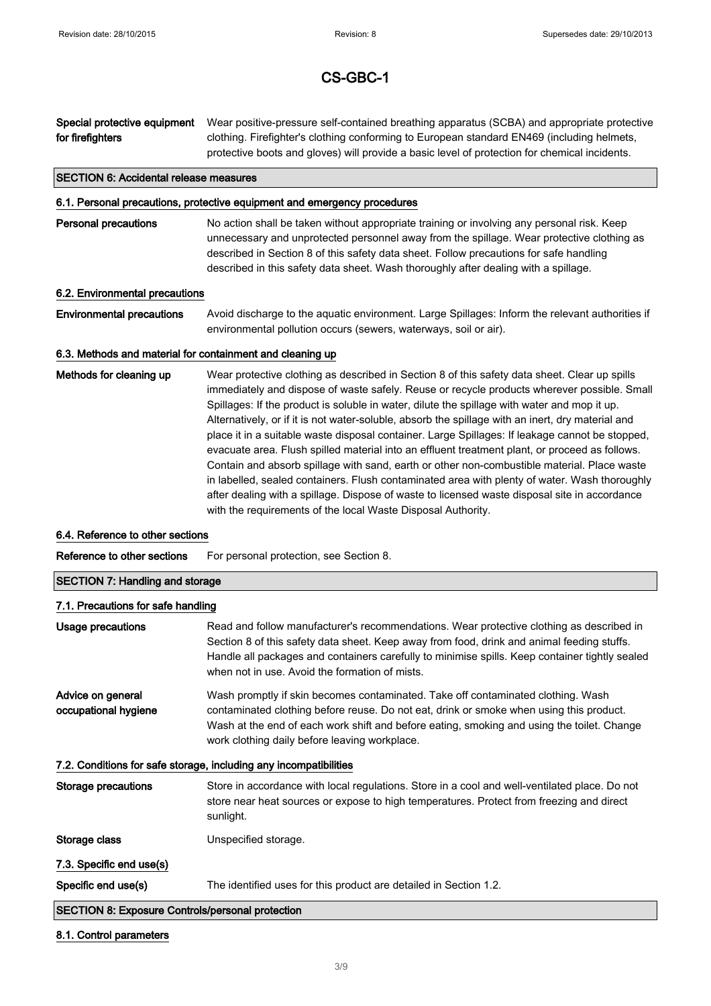Special protective equipment for firefighters Wear positive-pressure self-contained breathing apparatus (SCBA) and appropriate protective clothing. Firefighter's clothing conforming to European standard EN469 (including helmets, protective boots and gloves) will provide a basic level of protection for chemical incidents.

#### SECTION 6: Accidental release measures

#### 6.1. Personal precautions, protective equipment and emergency procedures

**Personal precautions** No action shall be taken without appropriate training or involving any personal risk. Keep unnecessary and unprotected personnel away from the spillage. Wear protective clothing as described in Section 8 of this safety data sheet. Follow precautions for safe handling described in this safety data sheet. Wash thoroughly after dealing with a spillage.

#### 6.2. Environmental precautions

Environmental precautions Avoid discharge to the aquatic environment. Large Spillages: Inform the relevant authorities if environmental pollution occurs (sewers, waterways, soil or air).

#### 6.3. Methods and material for containment and cleaning up

Methods for cleaning up Wear protective clothing as described in Section 8 of this safety data sheet. Clear up spills immediately and dispose of waste safely. Reuse or recycle products wherever possible. Small Spillages: If the product is soluble in water, dilute the spillage with water and mop it up. Alternatively, or if it is not water-soluble, absorb the spillage with an inert, dry material and place it in a suitable waste disposal container. Large Spillages: If leakage cannot be stopped, evacuate area. Flush spilled material into an effluent treatment plant, or proceed as follows. Contain and absorb spillage with sand, earth or other non-combustible material. Place waste in labelled, sealed containers. Flush contaminated area with plenty of water. Wash thoroughly after dealing with a spillage. Dispose of waste to licensed waste disposal site in accordance with the requirements of the local Waste Disposal Authority.

#### 6.4. Reference to other sections

Reference to other sections For personal protection, see Section 8.

#### SECTION 7: Handling and storage

#### 7.1. Precautions for safe handling

| Usage precautions                                                 | Read and follow manufacturer's recommendations. Wear protective clothing as described in<br>Section 8 of this safety data sheet. Keep away from food, drink and animal feeding stuffs.<br>Handle all packages and containers carefully to minimise spills. Keep container tightly sealed<br>when not in use. Avoid the formation of mists. |  |
|-------------------------------------------------------------------|--------------------------------------------------------------------------------------------------------------------------------------------------------------------------------------------------------------------------------------------------------------------------------------------------------------------------------------------|--|
| Advice on general<br>occupational hygiene                         | Wash promptly if skin becomes contaminated. Take off contaminated clothing. Wash<br>contaminated clothing before reuse. Do not eat, drink or smoke when using this product.<br>Wash at the end of each work shift and before eating, smoking and using the toilet. Change<br>work clothing daily before leaving workplace.                 |  |
| 7.2. Conditions for safe storage, including any incompatibilities |                                                                                                                                                                                                                                                                                                                                            |  |
| Storage precautions                                               | Store in accordance with local regulations. Store in a cool and well-ventilated place. Do not<br>store near heat sources or expose to high temperatures. Protect from freezing and direct<br>sunlight.                                                                                                                                     |  |
| Storage class                                                     | Unspecified storage.                                                                                                                                                                                                                                                                                                                       |  |
| 7.3. Specific end use(s)                                          |                                                                                                                                                                                                                                                                                                                                            |  |
| Specific end use(s)                                               | The identified uses for this product are detailed in Section 1.2.                                                                                                                                                                                                                                                                          |  |
| <b>SECTION 8: Exposure Controls/personal protection</b>           |                                                                                                                                                                                                                                                                                                                                            |  |

#### 8.1. Control parameters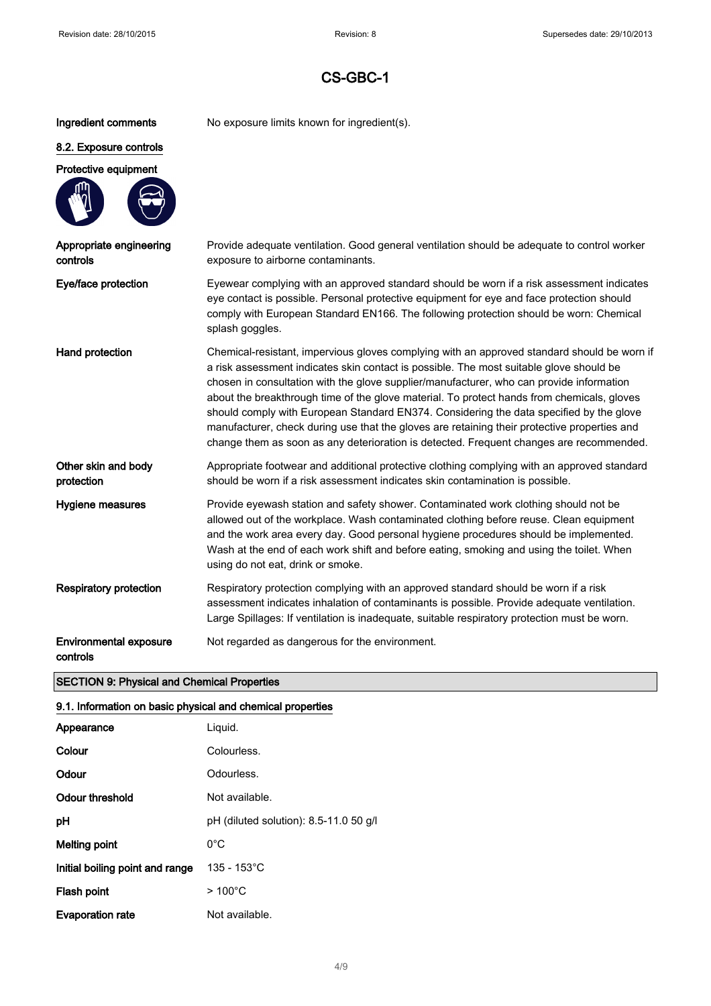Ingredient comments No exposure limits known for ingredient(s).

### 8.2. Exposure controls

### Protective equipment



| Appropriate engineering<br>controls | Provide adequate ventilation. Good general ventilation should be adequate to control worker<br>exposure to airborne contaminants.                                                                                                                                                                                                                                                                                                                                                                                                                                                                                                                                      |
|-------------------------------------|------------------------------------------------------------------------------------------------------------------------------------------------------------------------------------------------------------------------------------------------------------------------------------------------------------------------------------------------------------------------------------------------------------------------------------------------------------------------------------------------------------------------------------------------------------------------------------------------------------------------------------------------------------------------|
| Eye/face protection                 | Eyewear complying with an approved standard should be worn if a risk assessment indicates<br>eye contact is possible. Personal protective equipment for eye and face protection should<br>comply with European Standard EN166. The following protection should be worn: Chemical<br>splash goggles.                                                                                                                                                                                                                                                                                                                                                                    |
| Hand protection                     | Chemical-resistant, impervious gloves complying with an approved standard should be worn if<br>a risk assessment indicates skin contact is possible. The most suitable glove should be<br>chosen in consultation with the glove supplier/manufacturer, who can provide information<br>about the breakthrough time of the glove material. To protect hands from chemicals, gloves<br>should comply with European Standard EN374. Considering the data specified by the glove<br>manufacturer, check during use that the gloves are retaining their protective properties and<br>change them as soon as any deterioration is detected. Frequent changes are recommended. |
| Other skin and body<br>protection   | Appropriate footwear and additional protective clothing complying with an approved standard<br>should be worn if a risk assessment indicates skin contamination is possible.                                                                                                                                                                                                                                                                                                                                                                                                                                                                                           |
| Hygiene measures                    | Provide eyewash station and safety shower. Contaminated work clothing should not be<br>allowed out of the workplace. Wash contaminated clothing before reuse. Clean equipment<br>and the work area every day. Good personal hygiene procedures should be implemented.<br>Wash at the end of each work shift and before eating, smoking and using the toilet. When<br>using do not eat, drink or smoke.                                                                                                                                                                                                                                                                 |
| <b>Respiratory protection</b>       | Respiratory protection complying with an approved standard should be worn if a risk                                                                                                                                                                                                                                                                                                                                                                                                                                                                                                                                                                                    |

assessment indicates inhalation of contaminants is possible. Provide adequate ventilation.

Large Spillages: If ventilation is inadequate, suitable respiratory protection must be worn.

Environmental exposure controls Not regarded as dangerous for the environment.

#### SECTION 9: Physical and Chemical Properties

#### 9.1. Information on basic physical and chemical properties

| Appearance                      | Liquid.                                |
|---------------------------------|----------------------------------------|
| Colour                          | Colourless.                            |
| Odour                           | Odourless.                             |
| Odour threshold                 | Not available.                         |
| рH                              | pH (diluted solution): 8.5-11.0 50 g/l |
| Melting point                   | $0^{\circ}$ C                          |
| Initial boiling point and range | $135 - 153^{\circ}$ C                  |
| Flash point                     | $>100^{\circ}$ C                       |
| <b>Evaporation rate</b>         | Not available.                         |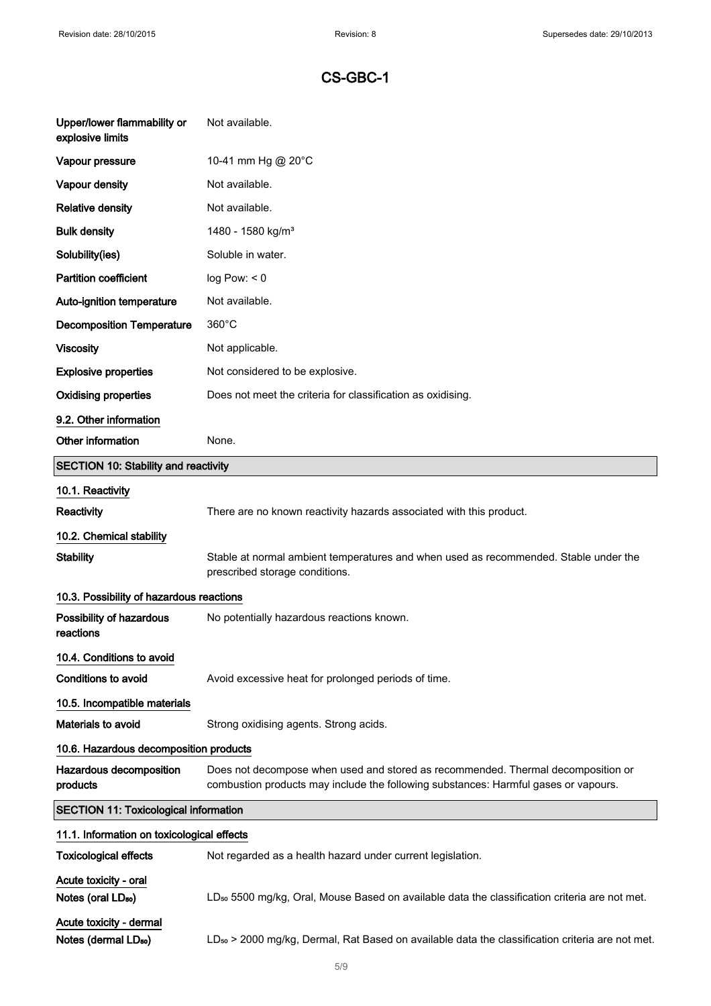| Upper/lower flammability or<br>explosive limits             | Not available.                                                                                                                                                          |  |  |
|-------------------------------------------------------------|-------------------------------------------------------------------------------------------------------------------------------------------------------------------------|--|--|
| Vapour pressure                                             | 10-41 mm Hg @ 20°C                                                                                                                                                      |  |  |
| Vapour density                                              | Not available.                                                                                                                                                          |  |  |
| <b>Relative density</b>                                     | Not available.                                                                                                                                                          |  |  |
| <b>Bulk density</b>                                         | 1480 - 1580 kg/m <sup>3</sup>                                                                                                                                           |  |  |
| Solubility(ies)                                             | Soluble in water.                                                                                                                                                       |  |  |
| <b>Partition coefficient</b>                                | log Pow: < 0                                                                                                                                                            |  |  |
| Auto-ignition temperature                                   | Not available.                                                                                                                                                          |  |  |
| <b>Decomposition Temperature</b>                            | $360^{\circ}$ C                                                                                                                                                         |  |  |
| <b>Viscosity</b>                                            | Not applicable.                                                                                                                                                         |  |  |
| <b>Explosive properties</b>                                 | Not considered to be explosive.                                                                                                                                         |  |  |
| <b>Oxidising properties</b>                                 | Does not meet the criteria for classification as oxidising.                                                                                                             |  |  |
| 9.2. Other information                                      |                                                                                                                                                                         |  |  |
| Other information                                           | None.                                                                                                                                                                   |  |  |
| <b>SECTION 10: Stability and reactivity</b>                 |                                                                                                                                                                         |  |  |
| 10.1. Reactivity                                            |                                                                                                                                                                         |  |  |
| Reactivity                                                  | There are no known reactivity hazards associated with this product.                                                                                                     |  |  |
| 10.2. Chemical stability                                    |                                                                                                                                                                         |  |  |
| <b>Stability</b>                                            | Stable at normal ambient temperatures and when used as recommended. Stable under the<br>prescribed storage conditions.                                                  |  |  |
| 10.3. Possibility of hazardous reactions                    |                                                                                                                                                                         |  |  |
| Possibility of hazardous<br>reactions                       | No potentially hazardous reactions known.                                                                                                                               |  |  |
| 10.4. Conditions to avoid                                   |                                                                                                                                                                         |  |  |
| Conditions to avoid                                         | Avoid excessive heat for prolonged periods of time.                                                                                                                     |  |  |
| 10.5. Incompatible materials                                |                                                                                                                                                                         |  |  |
| Materials to avoid                                          | Strong oxidising agents. Strong acids.                                                                                                                                  |  |  |
|                                                             | 10.6. Hazardous decomposition products                                                                                                                                  |  |  |
| Hazardous decomposition<br>products                         | Does not decompose when used and stored as recommended. Thermal decomposition or<br>combustion products may include the following substances: Harmful gases or vapours. |  |  |
| <b>SECTION 11: Toxicological information</b>                |                                                                                                                                                                         |  |  |
| 11.1. Information on toxicological effects                  |                                                                                                                                                                         |  |  |
| <b>Toxicological effects</b>                                | Not regarded as a health hazard under current legislation.                                                                                                              |  |  |
| Acute toxicity - oral<br>Notes (oral LD <sub>50</sub> )     | LD <sub>50</sub> 5500 mg/kg, Oral, Mouse Based on available data the classification criteria are not met.                                                               |  |  |
| Acute toxicity - dermal<br>Notes (dermal LD <sub>50</sub> ) | LD <sub>50</sub> > 2000 mg/kg, Dermal, Rat Based on available data the classification criteria are not met.                                                             |  |  |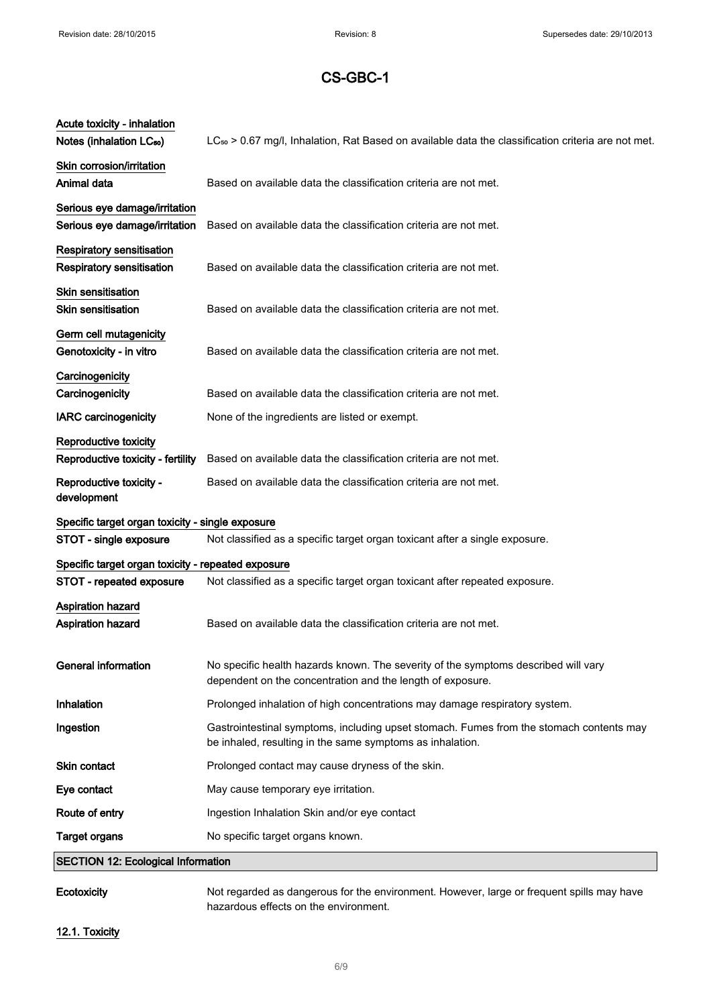| Acute toxicity - inhalation<br>Notes (inhalation LC <sub>50</sub> )  | LC <sub>50</sub> > 0.67 mg/l, Inhalation, Rat Based on available data the classification criteria are not met.                                       |
|----------------------------------------------------------------------|------------------------------------------------------------------------------------------------------------------------------------------------------|
| Skin corrosion/irritation<br>Animal data                             | Based on available data the classification criteria are not met.                                                                                     |
| Serious eye damage/irritation<br>Serious eye damage/irritation       | Based on available data the classification criteria are not met.                                                                                     |
| <b>Respiratory sensitisation</b><br><b>Respiratory sensitisation</b> | Based on available data the classification criteria are not met.                                                                                     |
| Skin sensitisation<br><b>Skin sensitisation</b>                      | Based on available data the classification criteria are not met.                                                                                     |
| Germ cell mutagenicity<br>Genotoxicity - in vitro                    | Based on available data the classification criteria are not met.                                                                                     |
| Carcinogenicity<br>Carcinogenicity                                   | Based on available data the classification criteria are not met.                                                                                     |
| <b>IARC</b> carcinogenicity                                          | None of the ingredients are listed or exempt.                                                                                                        |
| <b>Reproductive toxicity</b><br>Reproductive toxicity - fertility    | Based on available data the classification criteria are not met.                                                                                     |
| Reproductive toxicity -<br>development                               | Based on available data the classification criteria are not met.                                                                                     |
| Specific target organ toxicity - single exposure                     |                                                                                                                                                      |
| STOT - single exposure                                               | Not classified as a specific target organ toxicant after a single exposure.                                                                          |
| Specific target organ toxicity - repeated exposure                   |                                                                                                                                                      |
| STOT - repeated exposure                                             | Not classified as a specific target organ toxicant after repeated exposure.                                                                          |
| <b>Aspiration hazard</b><br><b>Aspiration hazard</b>                 | Based on available data the classification criteria are not met.                                                                                     |
| <b>General information</b>                                           | No specific health hazards known. The severity of the symptoms described will vary<br>dependent on the concentration and the length of exposure.     |
| Inhalation                                                           | Prolonged inhalation of high concentrations may damage respiratory system.                                                                           |
| Ingestion                                                            | Gastrointestinal symptoms, including upset stomach. Fumes from the stomach contents may<br>be inhaled, resulting in the same symptoms as inhalation. |
| Skin contact                                                         | Prolonged contact may cause dryness of the skin.                                                                                                     |
| Eye contact                                                          | May cause temporary eye irritation.                                                                                                                  |
| Route of entry                                                       | Ingestion Inhalation Skin and/or eye contact                                                                                                         |
| <b>Target organs</b>                                                 | No specific target organs known.                                                                                                                     |
| <b>SECTION 12: Ecological Information</b>                            |                                                                                                                                                      |
|                                                                      |                                                                                                                                                      |

Ecotoxicity Not regarded as dangerous for the environment. However, large or frequent spills may have hazardous effects on the environment.

#### 12.1. Toxicity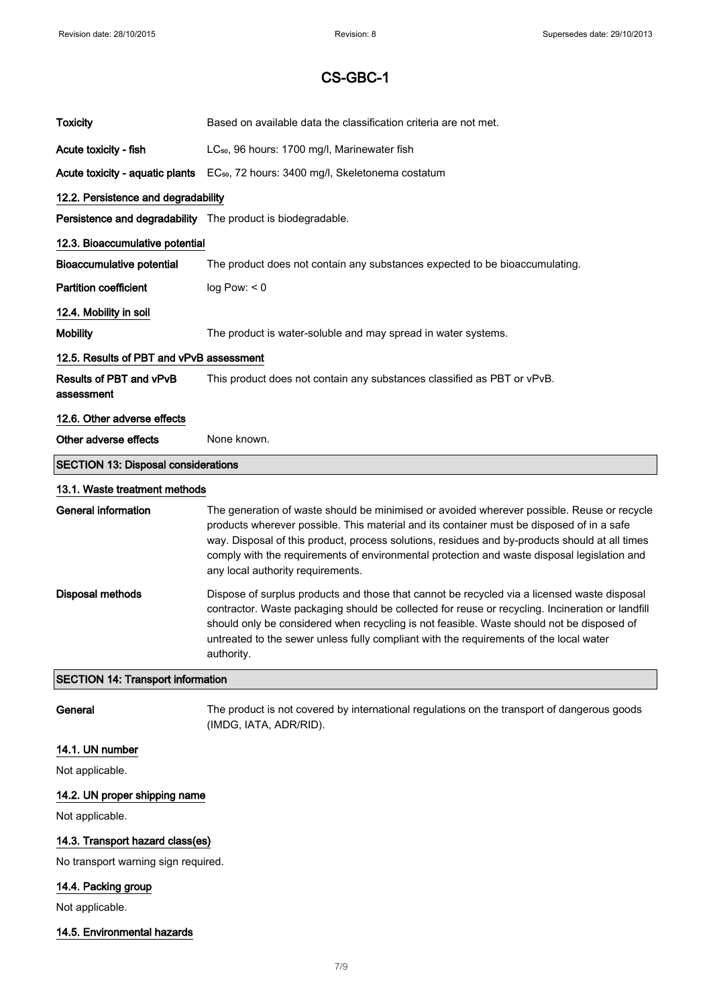| <b>Toxicity</b>                            | Based on available data the classification criteria are not met.                                                                                                                                                                                                                                                                                                                                                              |
|--------------------------------------------|-------------------------------------------------------------------------------------------------------------------------------------------------------------------------------------------------------------------------------------------------------------------------------------------------------------------------------------------------------------------------------------------------------------------------------|
| Acute toxicity - fish                      | LC <sub>50</sub> , 96 hours: 1700 mg/l, Marinewater fish                                                                                                                                                                                                                                                                                                                                                                      |
| Acute toxicity - aquatic plants            | EC <sub>50</sub> , 72 hours: 3400 mg/l, Skeletonema costatum                                                                                                                                                                                                                                                                                                                                                                  |
| 12.2. Persistence and degradability        |                                                                                                                                                                                                                                                                                                                                                                                                                               |
|                                            | Persistence and degradability The product is biodegradable.                                                                                                                                                                                                                                                                                                                                                                   |
| 12.3. Bioaccumulative potential            |                                                                                                                                                                                                                                                                                                                                                                                                                               |
| <b>Bioaccumulative potential</b>           | The product does not contain any substances expected to be bioaccumulating.                                                                                                                                                                                                                                                                                                                                                   |
| <b>Partition coefficient</b>               | log Pow: < 0                                                                                                                                                                                                                                                                                                                                                                                                                  |
| 12.4. Mobility in soil                     |                                                                                                                                                                                                                                                                                                                                                                                                                               |
| <b>Mobility</b>                            | The product is water-soluble and may spread in water systems.                                                                                                                                                                                                                                                                                                                                                                 |
| 12.5. Results of PBT and vPvB assessment   |                                                                                                                                                                                                                                                                                                                                                                                                                               |
| Results of PBT and vPvB<br>assessment      | This product does not contain any substances classified as PBT or vPvB.                                                                                                                                                                                                                                                                                                                                                       |
| 12.6. Other adverse effects                |                                                                                                                                                                                                                                                                                                                                                                                                                               |
| Other adverse effects                      | None known.                                                                                                                                                                                                                                                                                                                                                                                                                   |
| <b>SECTION 13: Disposal considerations</b> |                                                                                                                                                                                                                                                                                                                                                                                                                               |
|                                            |                                                                                                                                                                                                                                                                                                                                                                                                                               |
| 13.1. Waste treatment methods              |                                                                                                                                                                                                                                                                                                                                                                                                                               |
| <b>General information</b>                 | The generation of waste should be minimised or avoided wherever possible. Reuse or recycle<br>products wherever possible. This material and its container must be disposed of in a safe<br>way. Disposal of this product, process solutions, residues and by-products should at all times<br>comply with the requirements of environmental protection and waste disposal legislation and<br>any local authority requirements. |
| <b>Disposal methods</b>                    | Dispose of surplus products and those that cannot be recycled via a licensed waste disposal<br>contractor. Waste packaging should be collected for reuse or recycling. Incineration or landfill<br>should only be considered when recycling is not feasible. Waste should not be disposed of<br>untreated to the sewer unless fully compliant with the requirements of the local water<br>authority.                          |
| <b>SECTION 14: Transport information</b>   |                                                                                                                                                                                                                                                                                                                                                                                                                               |
| General                                    | The product is not covered by international regulations on the transport of dangerous goods<br>(IMDG, IATA, ADR/RID).                                                                                                                                                                                                                                                                                                         |
| 14.1. UN number                            |                                                                                                                                                                                                                                                                                                                                                                                                                               |
| Not applicable.                            |                                                                                                                                                                                                                                                                                                                                                                                                                               |

Not applicable.

### 14.3. Transport hazard class(es)

No transport warning sign required.

### 14.4. Packing group

Not applicable.

#### 14.5. Environmental hazards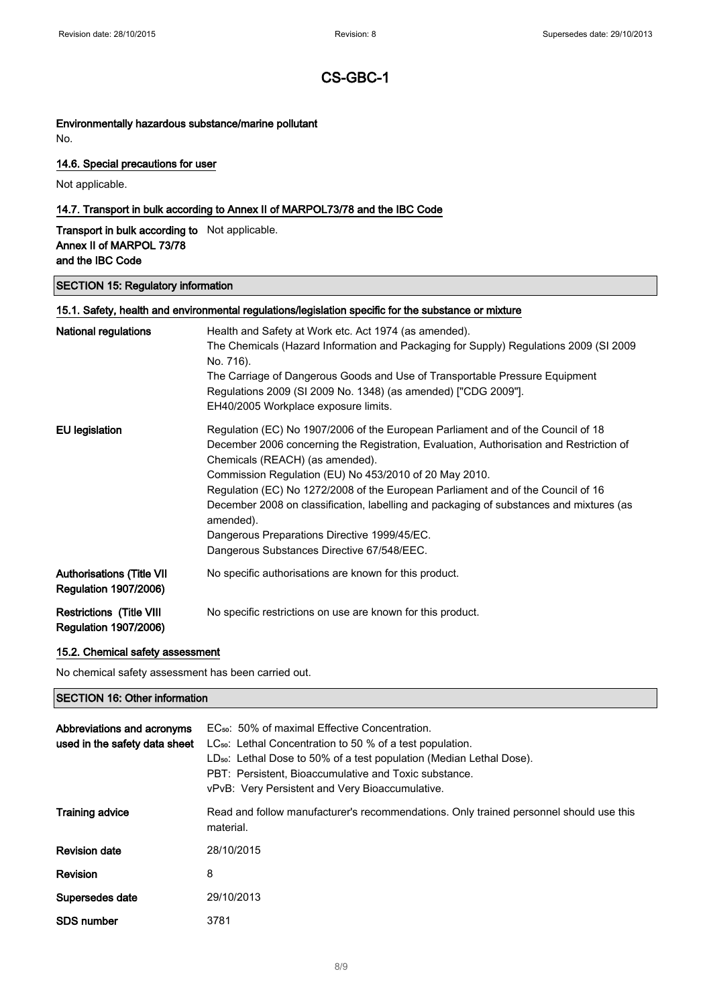#### Environmentally hazardous substance/marine pollutant

No.

#### 14.6. Special precautions for user

Not applicable.

#### 14.7. Transport in bulk according to Annex II of MARPOL73/78 and the IBC Code

Transport in bulk according to Not applicable. Annex II of MARPOL 73/78 and the IBC Code

#### SECTION 15: Regulatory information

| 15.1. Safety, health and environmental regulations/legislation specific for the substance or mixture |                                                                                                                                                                                                                                                                                                                                                                                                                                                                                                                                                                    |  |
|------------------------------------------------------------------------------------------------------|--------------------------------------------------------------------------------------------------------------------------------------------------------------------------------------------------------------------------------------------------------------------------------------------------------------------------------------------------------------------------------------------------------------------------------------------------------------------------------------------------------------------------------------------------------------------|--|
| <b>National regulations</b>                                                                          | Health and Safety at Work etc. Act 1974 (as amended).<br>The Chemicals (Hazard Information and Packaging for Supply) Regulations 2009 (SI 2009<br>No. 716).<br>The Carriage of Dangerous Goods and Use of Transportable Pressure Equipment<br>Regulations 2009 (SI 2009 No. 1348) (as amended) ["CDG 2009"].<br>EH40/2005 Workplace exposure limits.                                                                                                                                                                                                               |  |
| EU legislation                                                                                       | Regulation (EC) No 1907/2006 of the European Parliament and of the Council of 18<br>December 2006 concerning the Registration, Evaluation, Authorisation and Restriction of<br>Chemicals (REACH) (as amended).<br>Commission Regulation (EU) No 453/2010 of 20 May 2010.<br>Regulation (EC) No 1272/2008 of the European Parliament and of the Council of 16<br>December 2008 on classification, labelling and packaging of substances and mixtures (as<br>amended).<br>Dangerous Preparations Directive 1999/45/EC.<br>Dangerous Substances Directive 67/548/EEC. |  |
| <b>Authorisations (Title VII</b><br><b>Regulation 1907/2006)</b>                                     | No specific authorisations are known for this product.                                                                                                                                                                                                                                                                                                                                                                                                                                                                                                             |  |
| <b>Restrictions (Title VIII</b><br><b>Regulation 1907/2006)</b>                                      | No specific restrictions on use are known for this product.                                                                                                                                                                                                                                                                                                                                                                                                                                                                                                        |  |

#### 15.2. Chemical safety assessment

No chemical safety assessment has been carried out.

#### SECTION 16: Other information

| Abbreviations and acronyms<br>used in the safety data sheet | EC <sub>50</sub> : 50% of maximal Effective Concentration.<br>$LC_{50}$ : Lethal Concentration to 50 % of a test population.<br>$LD_{50}$ : Lethal Dose to 50% of a test population (Median Lethal Dose).<br>PBT: Persistent. Bioaccumulative and Toxic substance.<br>vPvB: Very Persistent and Very Bioaccumulative. |
|-------------------------------------------------------------|-----------------------------------------------------------------------------------------------------------------------------------------------------------------------------------------------------------------------------------------------------------------------------------------------------------------------|
| <b>Training advice</b>                                      | Read and follow manufacturer's recommendations. Only trained personnel should use this<br>material.                                                                                                                                                                                                                   |
| <b>Revision date</b>                                        | 28/10/2015                                                                                                                                                                                                                                                                                                            |
| Revision                                                    | 8                                                                                                                                                                                                                                                                                                                     |
| Supersedes date                                             | 29/10/2013                                                                                                                                                                                                                                                                                                            |
| <b>SDS number</b>                                           | 3781                                                                                                                                                                                                                                                                                                                  |